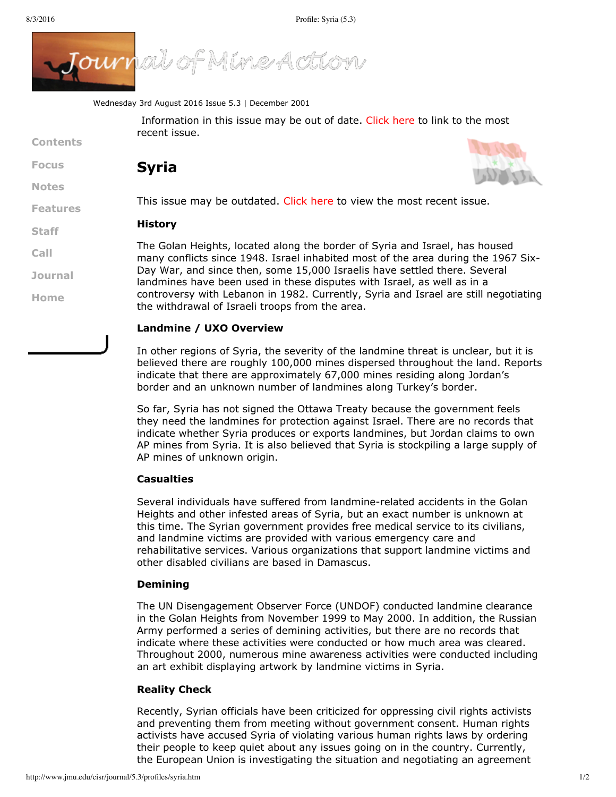

Wednesday 3rd August 2016 Issue 5.3 | December 2001

Information in this issue may be out of date. [Click](http://www.jmu.edu/journal/index/index.htm) here to link to the most recent issue.

# **Contents**

**[Focus](http://www.jmu.edu/cisr/journal/5.3/index.htm#focus) Syria**

**[Notes](http://www.jmu.edu/cisr/journal/5.3/index.htm#notes)**

**[Features](http://www.jmu.edu/cisr/journal/5.3/index.htm#feature)**

**[Staff](http://www.jmu.edu/cisr/staff/index.shtml) [Call](http://www.jmu.edu/cisr/journal/cfps.shtml)**

**[Journal](http://www.jmu.edu/cisr/journal/past-issues.shtml)**

**[Home](http://www.jmu.edu/cisr/journal/5.3/index.htm)**

This issue may be outdated. [Click](http://www.jmu.edu/cisr/journal/current.shtml) here to view the most recent issue.

# **History**

The Golan Heights, located along the border of Syria and Israel, has housed many conflicts since 1948. Israel inhabited most of the area during the 1967 Six-Day War, and since then, some 15,000 Israelis have settled there. Several landmines have been used in these disputes with Israel, as well as in a controversy with Lebanon in 1982. Currently, Syria and Israel are still negotiating the withdrawal of Israeli troops from the area.

# **Landmine / UXO Overview**

In other regions of Syria, the severity of the landmine threat is unclear, but it is believed there are roughly 100,000 mines dispersed throughout the land. Reports indicate that there are approximately 67,000 mines residing along Jordan's border and an unknown number of landmines along Turkey's border.

So far, Syria has not signed the Ottawa Treaty because the government feels they need the landmines for protection against Israel. There are no records that indicate whether Syria produces or exports landmines, but Jordan claims to own AP mines from Syria. It is also believed that Syria is stockpiling a large supply of AP mines of unknown origin.

## **Casualties**

Several individuals have suffered from landmine-related accidents in the Golan Heights and other infested areas of Syria, but an exact number is unknown at this time. The Syrian government provides free medical service to its civilians, and landmine victims are provided with various emergency care and rehabilitative services. Various organizations that support landmine victims and other disabled civilians are based in Damascus.

#### **Demining**

The UN Disengagement Observer Force (UNDOF) conducted landmine clearance in the Golan Heights from November 1999 to May 2000. In addition, the Russian Army performed a series of demining activities, but there are no records that indicate where these activities were conducted or how much area was cleared. Throughout 2000, numerous mine awareness activities were conducted including an art exhibit displaying artwork by landmine victims in Syria.

#### **Reality Check**

Recently, Syrian officials have been criticized for oppressing civil rights activists and preventing them from meeting without government consent. Human rights activists have accused Syria of violating various human rights laws by ordering their people to keep quiet about any issues going on in the country. Currently, the European Union is investigating the situation and negotiating an agreement